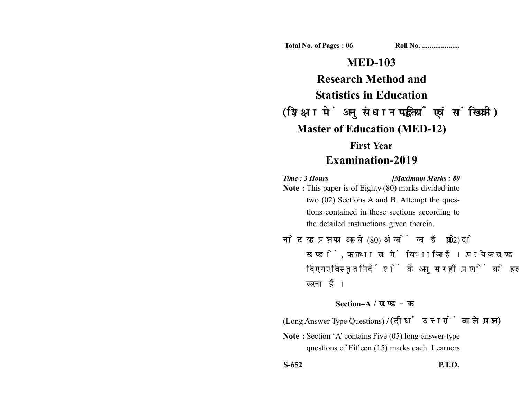**Total No. of Pages : 06 Roll No. ...................** 

# **MED-103**

**Research Method and Statistics in Education** (शिक्षा में अनुसंधान पद्धतियाँ एवं सांख्यिकी) **Master of Education (MED-12) First Year**

## **Examination-2019**

*Time :* **3** *Hours [Maximum Marks : 80* **Note :** This paper is of Eighty (80) marks divided into two (02) Sections A and B. Attempt the questions contained in these sections according to the detailed instructions given therein.

नोट: यह प्रश्नपत्र अस्सी (80) अंकों का है जो दो (02) खण्डों, क तथा ख में विभाजित है। प्रत्येक खण्ड में दिए गए विस्तृत निर्देशों के अनुसार ही प्रश्नों को हल करना है।

### **Section–A /**

(Long Answer Type Questions) **/** 

**Note :** Section 'A' contains Five (05) long-answer-type questions of Fifteen (15) marks each. Learners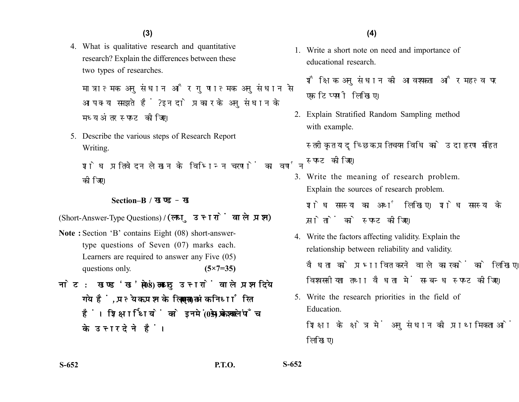4. What is qualitative research and quantitative research? Explain the differences between these two types of researches.

मात्रात्मक अनुसंधान और गुणात्मक अनुसंधान से आप क्या समझते हैं? इन दो प्रकार के अनसंधान के मध्य अंतर स्पष्ट कीजिए।

5. Describe the various steps of Research Report Writing.

शोध प्रतिवेदन लेखन के विभिन्न चरणों का वर्णन कोजिए।

#### **Section–B /**

(Short-Answer-Type Questions) **/** 

- **Note :** Section 'B' contains Eight (08) short-answertype questions of Seven (07) marks each. Learners are required to answer any Five (05) questions only. **(5×7=35)**
- नोट: खण्ड'ख' में आठ (08) लघु उत्तरों वाले प्रश्न दिये गये हैं. प्रत्येक प्रश्न के लिए सात (07) अंक निर्धारित हैं। शिक्षार्थियों को इनमें से केवल पाँच (05) प्रश्नों के उत्तर देने हैं।

1. Write a short note on need and importance of educational research.

शैक्षिक अनुसंधान की आवश्यकता और महत्व पर एक टिप्पणी लिखिए।

2. Explain Stratified Random Sampling method with example.

स्तरीकृत यादुच्छिक प्रतिचयन विधि को उदाहरण सहित स्पष्ट कीजिए।

- 3. Write the meaning of research problem. Explain the sources of research problem. शोध समस्या का अर्थ लिखिए। शोध समस्या के स्रोतों को स्पष्ट कीजिए।
- 4. Write the factors affecting validity. Explain the relationship between reliability and validity. वैधता को प्रभावित करने वाले कारकों को लिखिए। विश्वसनीयता तथा वैधता में सम्बन्ध स्पष्ट कीजिए।
- 5. Write the research priorities in the field of Education.

शिक्षा के क्षेत्र में अनुसंधान की प्राथमिकताओं को लिखिए।